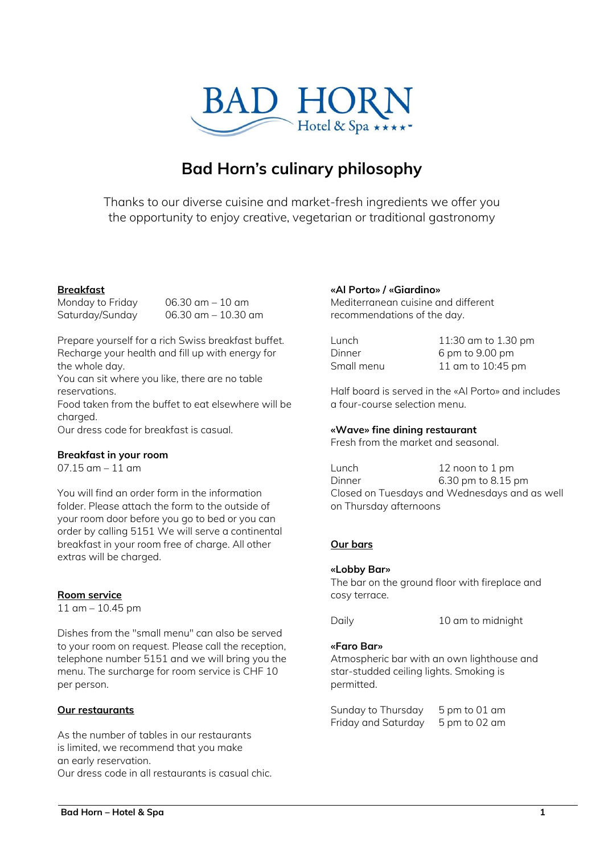

# **Bad Horn's culinary philosophy**

Thanks to our diverse cuisine and market-fresh ingredients we offer you the opportunity to enjoy creative, vegetarian or traditional gastronomy

# **Breakfast**

Monday to Friday 06.30 am – 10 am Saturday/Sunday 06.30 am – 10.30 am

Prepare yourself for a rich Swiss breakfast buffet. Recharge your health and fill up with energy for the whole day.

You can sit where you like, there are no table reservations.

Food taken from the buffet to eat elsewhere will be charaed.

Our dress code for breakfast is casual.

## **Breakfast in your room**

 $07.15$  am  $-11$  am

You will find an order form in the information folder. Please attach the form to the outside of your room door before you go to bed or you can order by calling 5151 We will serve a continental breakfast in your room free of charge. All other extras will be charged.

## **Room service**

11 am – 10.45 pm

Dishes from the "small menu" can also be served to your room on request. Please call the reception, telephone number 5151 and we will bring you the menu. The surcharge for room service is CHF 10 per person.

## **Our restaurants**

As the number of tables in our restaurants is limited, we recommend that you make an early reservation. Our dress code in all restaurants is casual chic.

## **«Al Porto» / «Giardino»**

Mediterranean cuisine and different recommendations of the day.

| Lunch      | 11:30 am to 1.30 pm |
|------------|---------------------|
| Dinner     | 6 pm to 9.00 pm     |
| Small menu | 11 am to 10:45 pm   |

Half board is served in the «Al Porto» and includes a four-course selection menu.

# **«Wave» fine dining restaurant**

Fresh from the market and seasonal.

Lunch 12 noon to 1 pm Dinner 6.30 pm to 8.15 pm Closed on Tuesdays and Wednesdays and as well on Thursday afternoons

# **Our bars**

## **«Lobby Bar»**

The bar on the ground floor with fireplace and cosy terrace.

Daily 10 am to midnight

## **«Faro Bar»**

Atmospheric bar with an own lighthouse and star-studded ceiling lights. Smoking is permitted.

Sunday to Thursday 5 pm to 01 am Friday and Saturday 5 pm to 02 am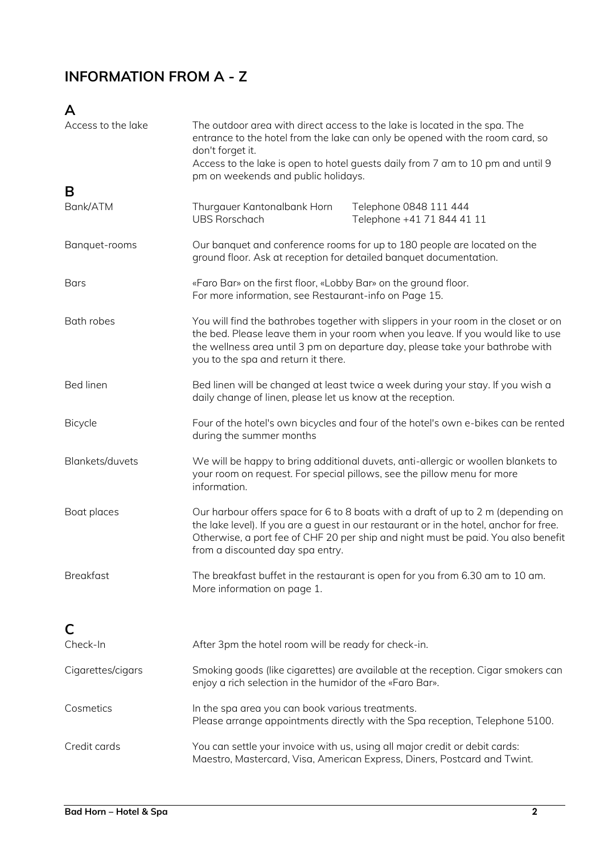# **INFORMATION FROM A - Z**

# **A**

| Access to the lake | The outdoor area with direct access to the lake is located in the spa. The<br>entrance to the hotel from the lake can only be opened with the room card, so<br>don't forget it.<br>Access to the lake is open to hotel guests daily from 7 am to 10 pm and until 9<br>pm on weekends and public holidays. |                                                                                                                                                                                                                                                                   |  |
|--------------------|-----------------------------------------------------------------------------------------------------------------------------------------------------------------------------------------------------------------------------------------------------------------------------------------------------------|-------------------------------------------------------------------------------------------------------------------------------------------------------------------------------------------------------------------------------------------------------------------|--|
| B                  |                                                                                                                                                                                                                                                                                                           |                                                                                                                                                                                                                                                                   |  |
| Bank/ATM           | Thurgauer Kantonalbank Horn<br><b>UBS Rorschach</b>                                                                                                                                                                                                                                                       | Telephone 0848 111 444<br>Telephone +41 71 844 41 11                                                                                                                                                                                                              |  |
| Banquet-rooms      | ground floor. Ask at reception for detailed banquet documentation.                                                                                                                                                                                                                                        | Our banquet and conference rooms for up to 180 people are located on the                                                                                                                                                                                          |  |
| <b>Bars</b>        | «Faro Bar» on the first floor, «Lobby Bar» on the ground floor.<br>For more information, see Restaurant-info on Page 15.                                                                                                                                                                                  |                                                                                                                                                                                                                                                                   |  |
| <b>Bath robes</b>  | You will find the bathrobes together with slippers in your room in the closet or on<br>the bed. Please leave them in your room when you leave. If you would like to use<br>the wellness area until 3 pm on departure day, please take your bathrobe with<br>you to the spa and return it there.           |                                                                                                                                                                                                                                                                   |  |
| <b>Bed linen</b>   | Bed linen will be changed at least twice a week during your stay. If you wish a<br>daily change of linen, please let us know at the reception.                                                                                                                                                            |                                                                                                                                                                                                                                                                   |  |
| <b>Bicycle</b>     | Four of the hotel's own bicycles and four of the hotel's own e-bikes can be rented<br>during the summer months                                                                                                                                                                                            |                                                                                                                                                                                                                                                                   |  |
| Blankets/duvets    | information.                                                                                                                                                                                                                                                                                              | We will be happy to bring additional duvets, anti-allergic or woollen blankets to<br>your room on request. For special pillows, see the pillow menu for more                                                                                                      |  |
| Boat places        | from a discounted day spa entry.                                                                                                                                                                                                                                                                          | Our harbour offers space for 6 to 8 boats with a draft of up to 2 m (depending on<br>the lake level). If you are a guest in our restaurant or in the hotel, anchor for free.<br>Otherwise, a port fee of CHF 20 per ship and night must be paid. You also benefit |  |
| <b>Breakfast</b>   | More information on page 1.                                                                                                                                                                                                                                                                               | The breakfast buffet in the restaurant is open for you from 6.30 am to 10 am.                                                                                                                                                                                     |  |
|                    |                                                                                                                                                                                                                                                                                                           |                                                                                                                                                                                                                                                                   |  |
| C                  |                                                                                                                                                                                                                                                                                                           |                                                                                                                                                                                                                                                                   |  |
| Check-In           | After 3pm the hotel room will be ready for check-in.                                                                                                                                                                                                                                                      |                                                                                                                                                                                                                                                                   |  |
| Cigarettes/cigars  | enjoy a rich selection in the humidor of the «Faro Bar».                                                                                                                                                                                                                                                  | Smoking goods (like cigarettes) are available at the reception. Cigar smokers can                                                                                                                                                                                 |  |
| Cosmetics          | In the spa area you can book various treatments.                                                                                                                                                                                                                                                          | Please arrange appointments directly with the Spa reception, Telephone 5100.                                                                                                                                                                                      |  |
| Credit cards       | You can settle your invoice with us, using all major credit or debit cards:<br>Maestro, Mastercard, Visa, American Express, Diners, Postcard and Twint.                                                                                                                                                   |                                                                                                                                                                                                                                                                   |  |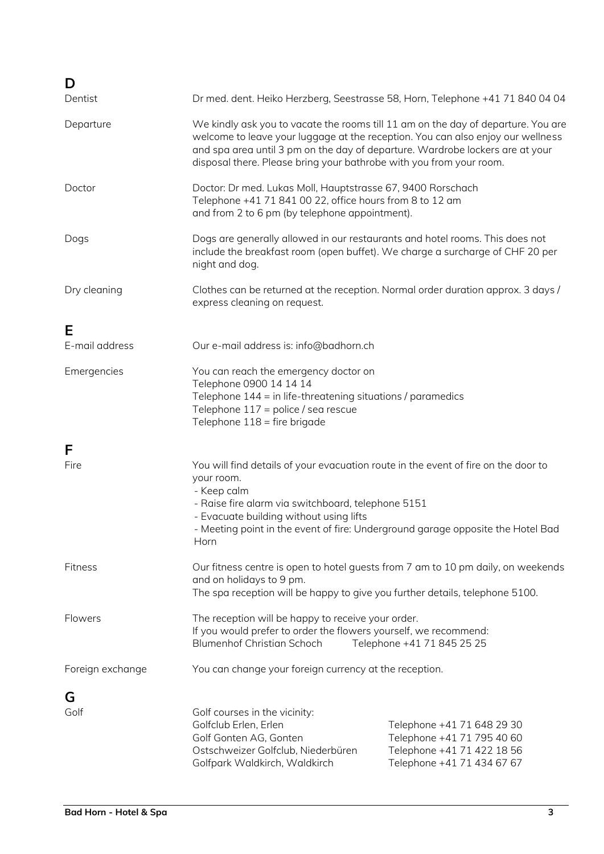| D<br>Dentist     | Dr med. dent. Heiko Herzberg, Seestrasse 58, Horn, Telephone +41 71 840 04 04                                                                                                                                                                                                                                                |                                                                                                                      |  |
|------------------|------------------------------------------------------------------------------------------------------------------------------------------------------------------------------------------------------------------------------------------------------------------------------------------------------------------------------|----------------------------------------------------------------------------------------------------------------------|--|
| Departure        | We kindly ask you to vacate the rooms till 11 am on the day of departure. You are<br>welcome to leave your luggage at the reception. You can also enjoy our wellness<br>and spa area until 3 pm on the day of departure. Wardrobe lockers are at your<br>disposal there. Please bring your bathrobe with you from your room. |                                                                                                                      |  |
| Doctor           | Doctor: Dr med. Lukas Moll, Hauptstrasse 67, 9400 Rorschach<br>Telephone +41 71 841 00 22, office hours from 8 to 12 am<br>and from 2 to 6 pm (by telephone appointment).                                                                                                                                                    |                                                                                                                      |  |
| Dogs             | Dogs are generally allowed in our restaurants and hotel rooms. This does not<br>include the breakfast room (open buffet). We charge a surcharge of CHF 20 per<br>night and dog.                                                                                                                                              |                                                                                                                      |  |
| Dry cleaning     | Clothes can be returned at the reception. Normal order duration approx. 3 days /<br>express cleaning on request.                                                                                                                                                                                                             |                                                                                                                      |  |
| Е                |                                                                                                                                                                                                                                                                                                                              |                                                                                                                      |  |
| E-mail address   | Our e-mail address is: info@badhorn.ch                                                                                                                                                                                                                                                                                       |                                                                                                                      |  |
| Emergencies      | You can reach the emergency doctor on<br>Telephone 0900 14 14 14<br>Telephone 144 = in life-threatening situations / paramedics<br>Telephone 117 = police / sea rescue<br>Telephone 118 = fire brigade                                                                                                                       |                                                                                                                      |  |
| F                |                                                                                                                                                                                                                                                                                                                              |                                                                                                                      |  |
| Fire             | You will find details of your evacuation route in the event of fire on the door to<br>your room.<br>- Keep calm<br>- Raise fire alarm via switchboard, telephone 5151<br>- Evacuate building without using lifts<br>- Meeting point in the event of fire: Underground garage opposite the Hotel Bad<br>Horn                  |                                                                                                                      |  |
| Fitness          | Our fitness centre is open to hotel guests from 7 am to 10 pm daily, on weekends<br>and on holidays to 9 pm.<br>The spa reception will be happy to give you further details, telephone 5100.                                                                                                                                 |                                                                                                                      |  |
| Flowers          | The reception will be happy to receive your order.<br>If you would prefer to order the flowers yourself, we recommend:<br><b>Blumenhof Christian Schoch</b>                                                                                                                                                                  | Telephone +41 71 845 25 25                                                                                           |  |
| Foreign exchange | You can change your foreign currency at the reception.                                                                                                                                                                                                                                                                       |                                                                                                                      |  |
| G                |                                                                                                                                                                                                                                                                                                                              |                                                                                                                      |  |
| Golf             | Golf courses in the vicinity:<br>Golfclub Erlen, Erlen<br>Golf Gonten AG, Gonten<br>Ostschweizer Golfclub, Niederbüren<br>Golfpark Waldkirch, Waldkirch                                                                                                                                                                      | Telephone +41 71 648 29 30<br>Telephone +41 71 795 40 60<br>Telephone +41 71 422 18 56<br>Telephone +41 71 434 67 67 |  |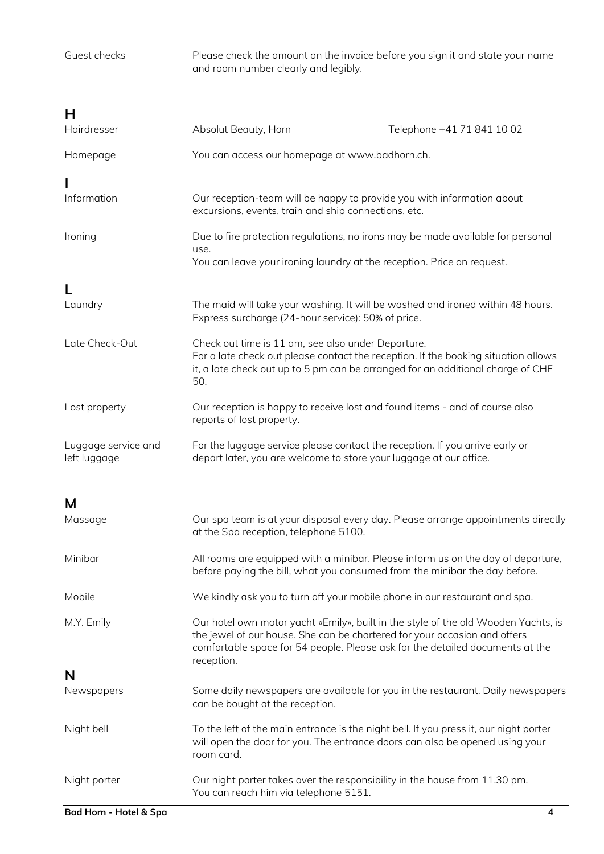Guest checks Please check the amount on the invoice before you sign it and state your name and room number clearly and legibly. **H** Absolut Beauty, Horn Telephone +41 71 841 10 02 Homepage You can access our homepage at [www.badhorn.ch.](http://www.badhorn.ch/)

**I**<br>Information Our reception-team will be happy to provide you with information about excursions, events, train and ship connections, etc.

Ironing **Ironing** Due to fire protection regulations, no irons may be made available for personal use. You can leave your ironing laundry at the reception. Price on request.

| Laundry        | The maid will take your washing. It will be washed and ironed within 48 hours.<br>Express surcharge (24-hour service): 50% of price.                                                                                               |
|----------------|------------------------------------------------------------------------------------------------------------------------------------------------------------------------------------------------------------------------------------|
| Late Check-Out | Check out time is 11 am, see also under Departure.<br>For a late check out please contact the reception. If the booking situation allows<br>it, a late check out up to 5 pm can be arranged for an additional charge of CHF<br>50. |

Lost property **Our reception is happy to receive lost and found items - and of course also** reports of lost property.

Luggage service and For the luggage service please contact the reception. If you arrive early or left luggage depart later, you are welcome to store your luggage at our office.

**M**

| IVI<br>Massage | Our spa team is at your disposal every day. Please arrange appointments directly<br>at the Spa reception, telephone 5100.                                                                                                                                      |
|----------------|----------------------------------------------------------------------------------------------------------------------------------------------------------------------------------------------------------------------------------------------------------------|
| Minibar        | All rooms are equipped with a minibar. Please inform us on the day of departure,<br>before paying the bill, what you consumed from the minibar the day before.                                                                                                 |
| Mobile         | We kindly ask you to turn off your mobile phone in our restaurant and spa.                                                                                                                                                                                     |
| M.Y. Emily     | Our hotel own motor yacht «Emily», built in the style of the old Wooden Yachts, is<br>the jewel of our house. She can be chartered for your occasion and offers<br>comfortable space for 54 people. Please ask for the detailed documents at the<br>reception. |
| N              |                                                                                                                                                                                                                                                                |
| Newspapers     | Some daily newspapers are available for you in the restaurant. Daily newspapers<br>can be bought at the reception.                                                                                                                                             |
| Night bell     | To the left of the main entrance is the night bell. If you press it, our night porter<br>will open the door for you. The entrance doors can also be opened using your<br>room card.                                                                            |
| Night porter   | Our night porter takes over the responsibility in the house from 11.30 pm.<br>You can reach him via telephone 5151.                                                                                                                                            |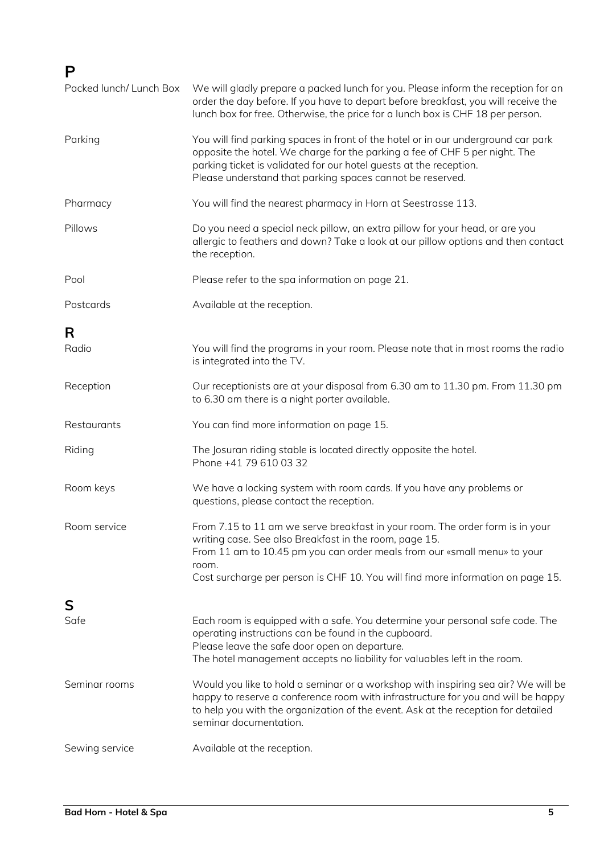# **P**

| Packed lunch/ Lunch Box | We will gladly prepare a packed lunch for you. Please inform the reception for an<br>order the day before. If you have to depart before breakfast, you will receive the<br>lunch box for free. Otherwise, the price for a lunch box is CHF 18 per person.                                                       |
|-------------------------|-----------------------------------------------------------------------------------------------------------------------------------------------------------------------------------------------------------------------------------------------------------------------------------------------------------------|
| Parking                 | You will find parking spaces in front of the hotel or in our underground car park<br>opposite the hotel. We charge for the parking a fee of CHF 5 per night. The<br>parking ticket is validated for our hotel guests at the reception.<br>Please understand that parking spaces cannot be reserved.             |
| Pharmacy                | You will find the nearest pharmacy in Horn at Seestrasse 113.                                                                                                                                                                                                                                                   |
| Pillows                 | Do you need a special neck pillow, an extra pillow for your head, or are you<br>allergic to feathers and down? Take a look at our pillow options and then contact<br>the reception.                                                                                                                             |
| Pool                    | Please refer to the spa information on page 21.                                                                                                                                                                                                                                                                 |
| Postcards               | Available at the reception.                                                                                                                                                                                                                                                                                     |
| R                       |                                                                                                                                                                                                                                                                                                                 |
| Radio                   | You will find the programs in your room. Please note that in most rooms the radio<br>is integrated into the TV.                                                                                                                                                                                                 |
| Reception               | Our receptionists are at your disposal from 6.30 am to 11.30 pm. From 11.30 pm<br>to 6.30 am there is a night porter available.                                                                                                                                                                                 |
| Restaurants             | You can find more information on page 15.                                                                                                                                                                                                                                                                       |
| Riding                  | The Josuran riding stable is located directly opposite the hotel.<br>Phone +41 79 610 03 32                                                                                                                                                                                                                     |
| Room keys               | We have a locking system with room cards. If you have any problems or<br>questions, please contact the reception.                                                                                                                                                                                               |
| Room service            | From 7.15 to 11 am we serve breakfast in your room. The order form is in your<br>writing case. See also Breakfast in the room, page 15.<br>From 11 am to 10.45 pm you can order meals from our «small menu» to your<br>room.<br>Cost surcharge per person is CHF 10. You will find more information on page 15. |
| S                       |                                                                                                                                                                                                                                                                                                                 |
| Safe                    | Each room is equipped with a safe. You determine your personal safe code. The<br>operating instructions can be found in the cupboard.<br>Please leave the safe door open on departure.<br>The hotel management accepts no liability for valuables left in the room.                                             |
| Seminar rooms           | Would you like to hold a seminar or a workshop with inspiring sea air? We will be<br>happy to reserve a conference room with infrastructure for you and will be happy<br>to help you with the organization of the event. Ask at the reception for detailed<br>seminar documentation.                            |
| Sewing service          | Available at the reception.                                                                                                                                                                                                                                                                                     |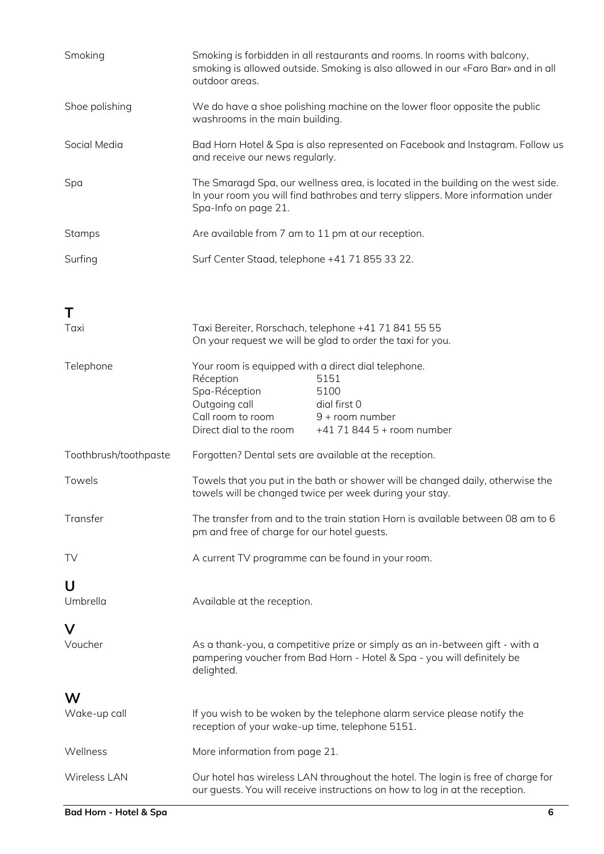| Smoking               | outdoor areas.                                                                                                                                     | Smoking is forbidden in all restaurants and rooms. In rooms with balcony,<br>smoking is allowed outside. Smoking is also allowed in our «Faro Bar» and in all       |
|-----------------------|----------------------------------------------------------------------------------------------------------------------------------------------------|---------------------------------------------------------------------------------------------------------------------------------------------------------------------|
| Shoe polishing        | washrooms in the main building.                                                                                                                    | We do have a shoe polishing machine on the lower floor opposite the public                                                                                          |
| Social Media          | Bad Horn Hotel & Spa is also represented on Facebook and Instagram. Follow us<br>and receive our news regularly.                                   |                                                                                                                                                                     |
| Spa                   | Spa-Info on page 21.                                                                                                                               | The Smaragd Spa, our wellness area, is located in the building on the west side.<br>In your room you will find bathrobes and terry slippers. More information under |
| <b>Stamps</b>         | Are available from 7 am to 11 pm at our reception.                                                                                                 |                                                                                                                                                                     |
| Surfing               | Surf Center Staad, telephone +41 71 855 33 22.                                                                                                     |                                                                                                                                                                     |
| Т                     |                                                                                                                                                    |                                                                                                                                                                     |
| Taxi                  | Taxi Bereiter, Rorschach, telephone +41 71 841 55 55<br>On your request we will be glad to order the taxi for you.                                 |                                                                                                                                                                     |
| Telephone             | Your room is equipped with a direct dial telephone.<br>Réception<br>Spa-Réception<br>Outgoing call<br>Call room to room<br>Direct dial to the room | 5151<br>5100<br>dial first 0<br>9 + room number<br>+41 71 844 5 + room number                                                                                       |
| Toothbrush/toothpaste | Forgotten? Dental sets are available at the reception.                                                                                             |                                                                                                                                                                     |
| Towels                |                                                                                                                                                    | Towels that you put in the bath or shower will be changed daily, otherwise the<br>towels will be changed twice per week during your stay.                           |
| Transfer              | pm and free of charge for our hotel guests.                                                                                                        | The transfer from and to the train station Horn is available between 08 am to 6                                                                                     |
| <b>TV</b>             | A current TV programme can be found in your room.                                                                                                  |                                                                                                                                                                     |
| U<br>Umbrella         | Available at the reception.                                                                                                                        |                                                                                                                                                                     |
| V<br>Voucher          | delighted.                                                                                                                                         | As a thank-you, a competitive prize or simply as an in-between gift - with a<br>pampering voucher from Bad Horn - Hotel & Spa - you will definitely be              |
| W                     |                                                                                                                                                    |                                                                                                                                                                     |
| Wake-up call          | reception of your wake-up time, telephone 5151.                                                                                                    | If you wish to be woken by the telephone alarm service please notify the                                                                                            |
| Wellness              | More information from page 21.                                                                                                                     |                                                                                                                                                                     |
| Wireless LAN          |                                                                                                                                                    | Our hotel has wireless LAN throughout the hotel. The login is free of charge for<br>our guests. You will receive instructions on how to log in at the reception.    |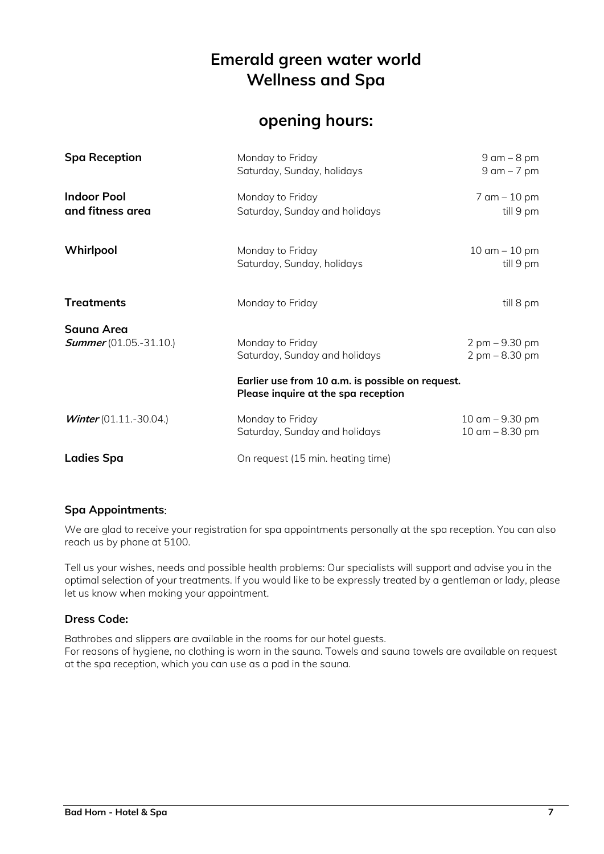# **Emerald green water world Wellness and Spa**

# **opening hours:**

| <b>Spa Reception</b>                               | Monday to Friday<br>Saturday, Sunday, holidays                                          | $9$ am $-8$ pm<br>$9$ am $-7$ pm                                       |
|----------------------------------------------------|-----------------------------------------------------------------------------------------|------------------------------------------------------------------------|
| <b>Indoor Pool</b><br>and fitness area             | Monday to Friday<br>Saturday, Sunday and holidays                                       | $7$ am $-$ 10 pm<br>till 9 pm                                          |
| Whirlpool                                          | Monday to Friday<br>Saturday, Sunday, holidays                                          | $10 \text{ cm} - 10 \text{ pm}$<br>till 9 pm                           |
| <b>Treatments</b>                                  | Monday to Friday                                                                        | till 8 pm                                                              |
| <b>Sauna Area</b><br><b>Summer</b> (01.05.-31.10.) | Monday to Friday<br>Saturday, Sunday and holidays                                       | $2 \text{ pm} - 9.30 \text{ pm}$<br>$2 \text{ pm} - 8.30 \text{ pm}$   |
|                                                    | Earlier use from 10 a.m. is possible on request.<br>Please inquire at the spa reception |                                                                        |
| Winter $(01.11.-30.04.)$                           | Monday to Friday<br>Saturday, Sunday and holidays                                       | $10 \text{ am} - 9.30 \text{ pm}$<br>$10 \text{ cm} - 8.30 \text{ pm}$ |
| <b>Ladies Spa</b>                                  | On request (15 min. heating time)                                                       |                                                                        |

# **Spa Appointments**:

We are glad to receive your registration for spa appointments personally at the spa reception. You can also reach us by phone at 5100.

Tell us your wishes, needs and possible health problems: Our specialists will support and advise you in the optimal selection of your treatments. If you would like to be expressly treated by a gentleman or lady, please let us know when making your appointment.

# **Dress Code:**

Bathrobes and slippers are available in the rooms for our hotel guests. For reasons of hygiene, no clothing is worn in the sauna. Towels and sauna towels are available on request at the spa reception, which you can use as a pad in the sauna.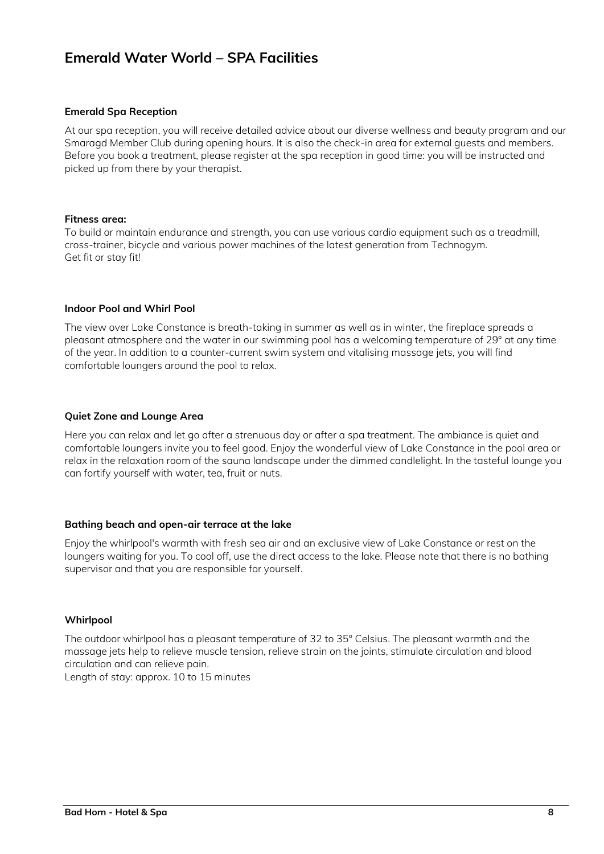# **Emerald Water World – SPA Facilities**

## **Emerald Spa Reception**

At our spa reception, you will receive detailed advice about our diverse wellness and beauty program and our Smaragd Member Club during opening hours. It is also the check-in area for external guests and members. Before you book a treatment, please register at the spa reception in good time: you will be instructed and picked up from there by your therapist.

#### **Fitness area:**

To build or maintain endurance and strength, you can use various cardio equipment such as a treadmill, cross-trainer, bicycle and various power machines of the latest generation from Technogym. Get fit or stay fit!

#### **Indoor Pool and Whirl Pool**

The view over Lake Constance is breath-taking in summer as well as in winter, the fireplace spreads a pleasant atmosphere and the water in our swimming pool has a welcoming temperature of 29° at any time of the year. In addition to a counter-current swim system and vitalising massage jets, you will find comfortable loungers around the pool to relax.

#### **Quiet Zone and Lounge Area**

Here you can relax and let go after a strenuous day or after a spa treatment. The ambiance is quiet and comfortable loungers invite you to feel good. Enjoy the wonderful view of Lake Constance in the pool area or relax in the relaxation room of the sauna landscape under the dimmed candlelight. In the tasteful lounge you can fortify yourself with water, tea, fruit or nuts.

## **Bathing beach and open-air terrace at the lake**

Enjoy the whirlpool's warmth with fresh sea air and an exclusive view of Lake Constance or rest on the loungers waiting for you. To cool off, use the direct access to the lake. Please note that there is no bathing supervisor and that you are responsible for yourself.

#### **Whirlpool**

The outdoor whirlpool has a pleasant temperature of 32 to 35° Celsius. The pleasant warmth and the massage jets help to relieve muscle tension, relieve strain on the joints, stimulate circulation and blood circulation and can relieve pain.

Length of stay: approx. 10 to 15 minutes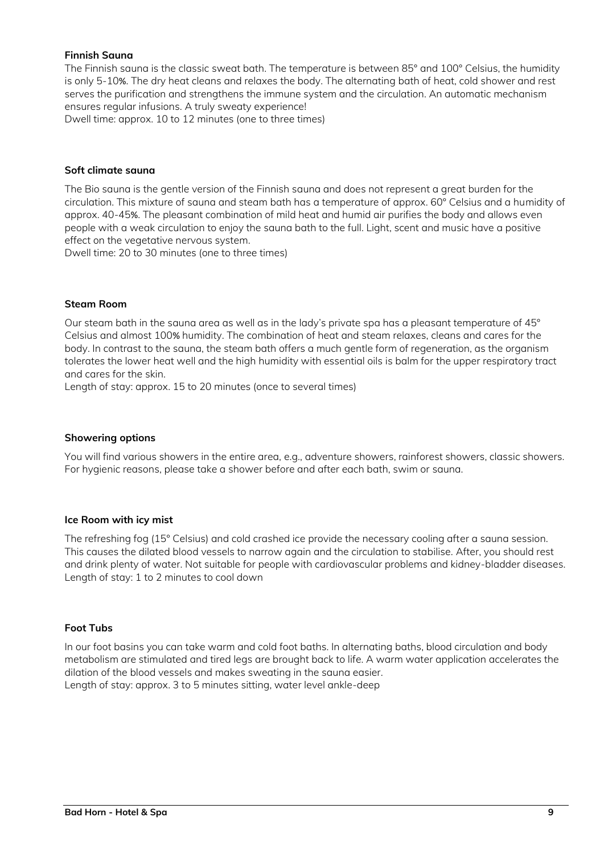# **Finnish Sauna**

The Finnish sauna is the classic sweat bath. The temperature is between 85° and 100° Celsius, the humidity is only 5-10%. The dry heat cleans and relaxes the body. The alternating bath of heat, cold shower and rest serves the purification and strengthens the immune system and the circulation. An automatic mechanism ensures regular infusions. A truly sweaty experience! Dwell time: approx. 10 to 12 minutes (one to three times)

#### **Soft climate sauna**

The Bio sauna is the gentle version of the Finnish sauna and does not represent a great burden for the circulation. This mixture of sauna and steam bath has a temperature of approx. 60° Celsius and a humidity of approx. 40-45%. The pleasant combination of mild heat and humid air purifies the body and allows even people with a weak circulation to enjoy the sauna bath to the full. Light, scent and music have a positive effect on the vegetative nervous system.

Dwell time: 20 to 30 minutes (one to three times)

#### **Steam Room**

Our steam bath in the sauna area as well as in the lady's private spa has a pleasant temperature of 45° Celsius and almost 100% humidity. The combination of heat and steam relaxes, cleans and cares for the body. In contrast to the sauna, the steam bath offers a much gentle form of regeneration, as the organism tolerates the lower heat well and the high humidity with essential oils is balm for the upper respiratory tract and cares for the skin.

Length of stay: approx. 15 to 20 minutes (once to several times)

## **Showering options**

You will find various showers in the entire area, e.g., adventure showers, rainforest showers, classic showers. For hygienic reasons, please take a shower before and after each bath, swim or sauna.

## **Ice Room with icy mist**

The refreshing fog (15° Celsius) and cold crashed ice provide the necessary cooling after a sauna session. This causes the dilated blood vessels to narrow again and the circulation to stabilise. After, you should rest and drink plenty of water. Not suitable for people with cardiovascular problems and kidney-bladder diseases. Length of stay: 1 to 2 minutes to cool down

## **Foot Tubs**

In our foot basins you can take warm and cold foot baths. In alternating baths, blood circulation and body metabolism are stimulated and tired legs are brought back to life. A warm water application accelerates the dilation of the blood vessels and makes sweating in the sauna easier. Length of stay: approx. 3 to 5 minutes sitting, water level ankle-deep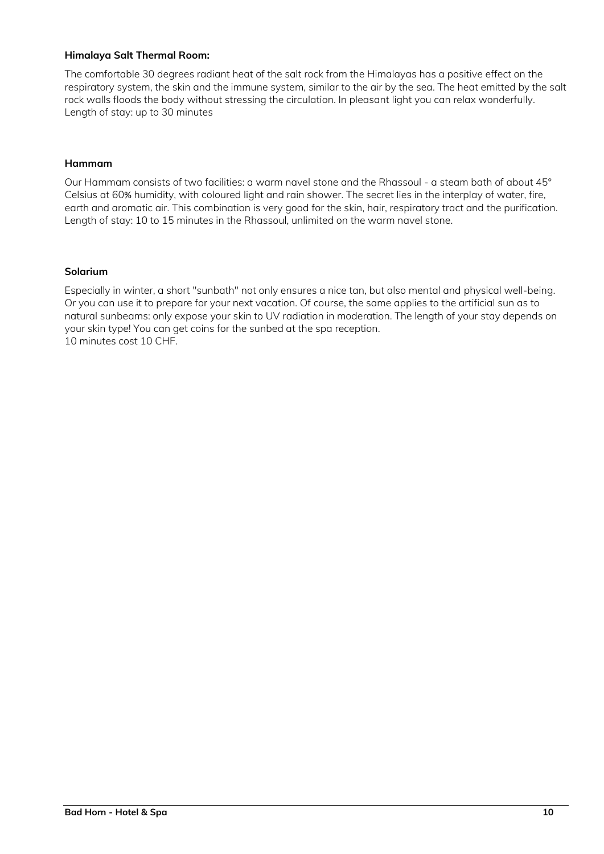# **Himalaya Salt Thermal Room:**

The comfortable 30 degrees radiant heat of the salt rock from the Himalayas has a positive effect on the respiratory system, the skin and the immune system, similar to the air by the sea. The heat emitted by the salt rock walls floods the body without stressing the circulation. In pleasant light you can relax wonderfully. Length of stay: up to 30 minutes

# **Hammam**

Our Hammam consists of two facilities: a warm navel stone and the Rhassoul - a steam bath of about 45° Celsius at 60% humidity, with coloured light and rain shower. The secret lies in the interplay of water, fire, earth and aromatic air. This combination is very good for the skin, hair, respiratory tract and the purification. Length of stay: 10 to 15 minutes in the Rhassoul, unlimited on the warm navel stone.

## **Solarium**

Especially in winter, a short "sunbath" not only ensures a nice tan, but also mental and physical well-being. Or you can use it to prepare for your next vacation. Of course, the same applies to the artificial sun as to natural sunbeams: only expose your skin to UV radiation in moderation. The length of your stay depends on your skin type! You can get coins for the sunbed at the spa reception. 10 minutes cost 10 CHF.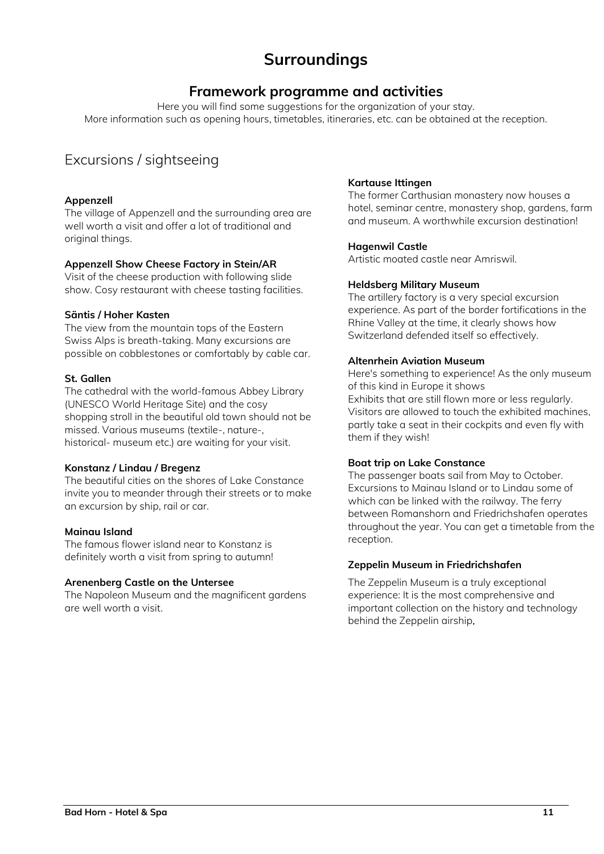# **Surroundings**

# **Framework programme and activities**

Here you will find some suggestions for the organization of your stay. More information such as opening hours, timetables, itineraries, etc. can be obtained at the reception.

# Excursions / sightseeing

# **Appenzell**

The village of Appenzell and the surrounding area are well worth a visit and offer a lot of traditional and original things.

# **Appenzell Show Cheese Factory in Stein/AR**

Visit of the cheese production with following slide show. Cosy restaurant with cheese tasting facilities.

# **Säntis / Hoher Kasten**

The view from the mountain tops of the Eastern Swiss Alps is breath-taking. Many excursions are possible on cobblestones or comfortably by cable car.

# **St. Gallen**

The cathedral with the world-famous Abbey Library (UNESCO World Heritage Site) and the cosy shopping stroll in the beautiful old town should not be missed. Various museums (textile-, nature-, historical- museum etc.) are waiting for your visit.

# **Konstanz / Lindau / Bregenz**

The beautiful cities on the shores of Lake Constance invite you to meander through their streets or to make an excursion by ship, rail or car.

## **Mainau Island**

The famous flower island near to Konstanz is definitely worth a visit from spring to autumn!

# **Arenenberg Castle on the Untersee**

The Napoleon Museum and the magnificent gardens are well worth a visit.

# **Kartause Ittingen**

The former Carthusian monastery now houses a hotel, seminar centre, monastery shop, gardens, farm and museum. A worthwhile excursion destination!

# **Hagenwil Castle**

Artistic moated castle near Amriswil.

# **Heldsberg Military Museum**

The artillery factory is a very special excursion experience. As part of the border fortifications in the Rhine Valley at the time, it clearly shows how Switzerland defended itself so effectively.

# **Altenrhein Aviation Museum**

Here's something to experience! As the only museum of this kind in Europe it shows Exhibits that are still flown more or less regularly. Visitors are allowed to touch the exhibited machines, partly take a seat in their cockpits and even fly with them if they wish!

# **Boat trip on Lake Constance**

The passenger boats sail from May to October. Excursions to Mainau Island or to Lindau some of which can be linked with the railway. The ferry between Romanshorn and Friedrichshafen operates throughout the year. You can get a timetable from the reception.

# **Zeppelin Museum in Friedrichshafen**

The Zeppelin Museum is a truly exceptional experience: It is the most comprehensive and important collection on the history and technology behind the Zeppelin airship.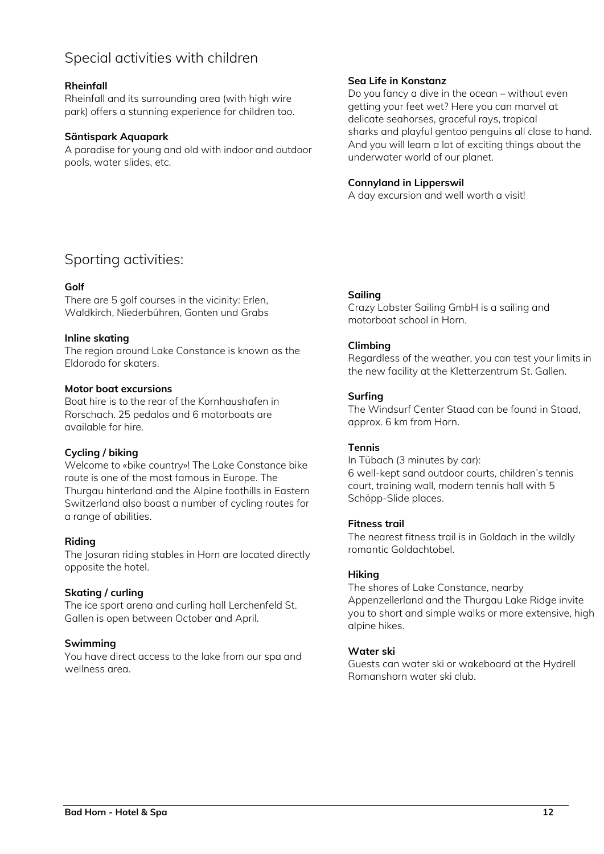# Special activities with children

# **Rheinfall**

Rheinfall and its surrounding area (with high wire park) offers a stunning experience for children too.

## **Säntispark Aquapark**

A paradise for young and old with indoor and outdoor pools, water slides, etc.

# **Sea Life in Konstanz**

Do you fancy a dive in the ocean – without even getting your feet wet? Here you can marvel at delicate seahorses, graceful rays, tropical sharks and playful gentoo penguins all close to hand. And you will learn a lot of exciting things about the underwater world of our planet.

# **Connyland in Lipperswil**

A day excursion and well worth a visit!

# Sporting activities:

# **Golf**

There are 5 golf courses in the vicinity: Erlen, Waldkirch, Niederbühren, Gonten und Grabs

# **Inline skating**

The region around Lake Constance is known as the Eldorado for skaters.

## **Motor boat excursions**

Boat hire is to the rear of the Kornhaushafen in Rorschach. 25 pedalos and 6 motorboats are available for hire.

# **Cycling / biking**

Welcome to «bike country»! The Lake Constance bike route is one of the most famous in Europe. The Thurgau hinterland and the Alpine foothills in Eastern Switzerland also boast a number of cycling routes for a range of abilities.

## **Riding**

The Josuran riding stables in Horn are located directly opposite the hotel.

# **Skating / curling**

The ice sport arena and curling hall Lerchenfeld St. Gallen is open between October and April.

## **Swimming**

You have direct access to the lake from our spa and wellness area.

## **Sailing**

Crazy Lobster Sailing GmbH is a sailing and motorboat school in Horn.

# **Climbing**

Regardless of the weather, you can test your limits in the new facility at the Kletterzentrum St. Gallen.

# **Surfing**

The Windsurf Center Staad can be found in Staad, approx. 6 km from Horn.

## **Tennis**

In Tübach (3 minutes by car): 6 well-kept sand outdoor courts, children's tennis court, training wall, modern tennis hall with 5 Schöpp-Slide places.

## **Fitness trail**

The nearest fitness trail is in Goldach in the wildly romantic Goldachtobel.

## **Hiking**

The shores of Lake Constance, nearby Appenzellerland and the Thurgau Lake Ridge invite you to short and simple walks or more extensive, high alpine hikes.

## **Water ski**

Guests can water ski or wakeboard at the Hydrell Romanshorn water ski club.